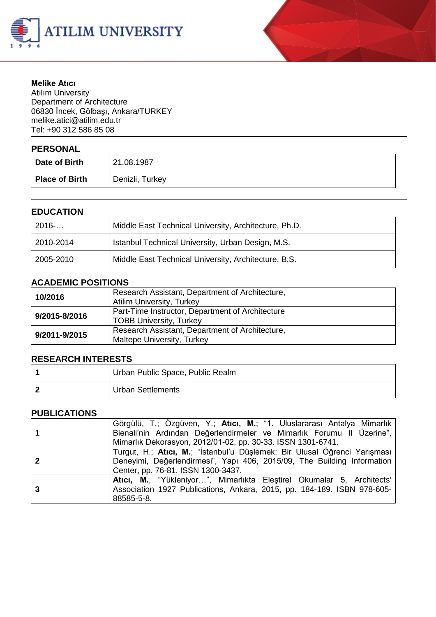



#### **Melike Atıcı**

Atılım University Department of Architecture 06830 İncek, Gölbaşı, Ankara/TURKEY melike.atic[i@atilim.edu.tr](mailto:ulug@bilkent.edu.tr) Tel: +90 312 586 85 08

## **PERSONAL**

| .<br>Date of Birth    | 21.08.1987      |
|-----------------------|-----------------|
| <b>Place of Birth</b> | Denizli, Turkey |

### **EDUCATION**

| 2016      | Middle East Technical University, Architecture, Ph.D. |
|-----------|-------------------------------------------------------|
| 2010-2014 | Istanbul Technical University, Urban Design, M.S.     |
| 2005-2010 | Middle East Technical University, Architecture, B.S.  |

### **ACADEMIC POSITIONS**

| 10/2016       | Research Assistant, Department of Architecture,<br><b>Atilim University, Turkey</b> |
|---------------|-------------------------------------------------------------------------------------|
| 9/2015-8/2016 | Part-Time Instructor, Department of Architecture<br><b>TOBB University, Turkey</b>  |
| 9/2011-9/2015 | Research Assistant, Department of Architecture,<br>Maltepe University, Turkey       |

### **RESEARCH INTERESTS**

| Urban Public Space, Public Realm |
|----------------------------------|
| <b>Urban Settlements</b>         |

### **PUBLICATIONS**

|   | Görgülü, T.; Özgüven, Y.; Atıcı, M.; "1. Uluslararası Antalya Mimarlık    |
|---|---------------------------------------------------------------------------|
|   | Bienali'nin Ardından Değerlendirmeler ve Mimarlık Forumu II Üzerine",     |
|   | Mimarlık Dekorasyon, 2012/01-02, pp. 30-33. ISSN 1301-6741.               |
|   | Turgut, H.; Atıcı, M.; "İstanbul'u Düşlemek: Bir Ulusal Öğrenci Yarışması |
|   | Deneyimi, Değerlendirmesi", Yapı 406, 2015/09, The Building Information   |
|   | Center, pp. 76-81. ISSN 1300-3437.                                        |
|   | Atici, M., "Yükleniyor", Mimarlıkta Eleştirel Okumalar 5, Architects'     |
| 3 | Association 1927 Publications, Ankara, 2015, pp. 184-189. ISBN 978-605-   |
|   | 88585-5-8.                                                                |